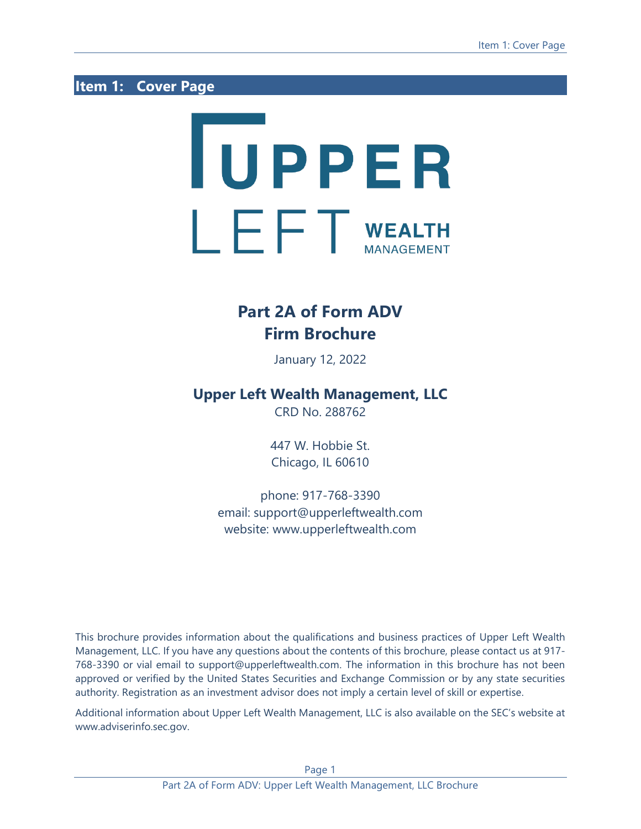## <span id="page-0-0"></span>**Item 1: Cover Page**

# **TUPPER**  $\mathbf{F} \mathbf{F}$  wealth

# **Part 2A of Form ADV Firm Brochure**

January 12, 2022

## **Upper Left Wealth Management, LLC**

CRD No. 288762

447 W. Hobbie St. Chicago, IL 60610

phone: 917-768-3390 email: support@upperleftwealth.com website: www.upperleftwealth.com

This brochure provides information about the qualifications and business practices of Upper Left Wealth Management, LLC. If you have any questions about the contents of this brochure, please contact us at 917- 768-3390 or vial email to support@upperleftwealth.com. The information in this brochure has not been approved or verified by the United States Securities and Exchange Commission or by any state securities authority. Registration as an investment advisor does not imply a certain level of skill or expertise.

Additional information about Upper Left Wealth Management, LLC is also available on the SEC's website at www.adviserinfo.sec.gov.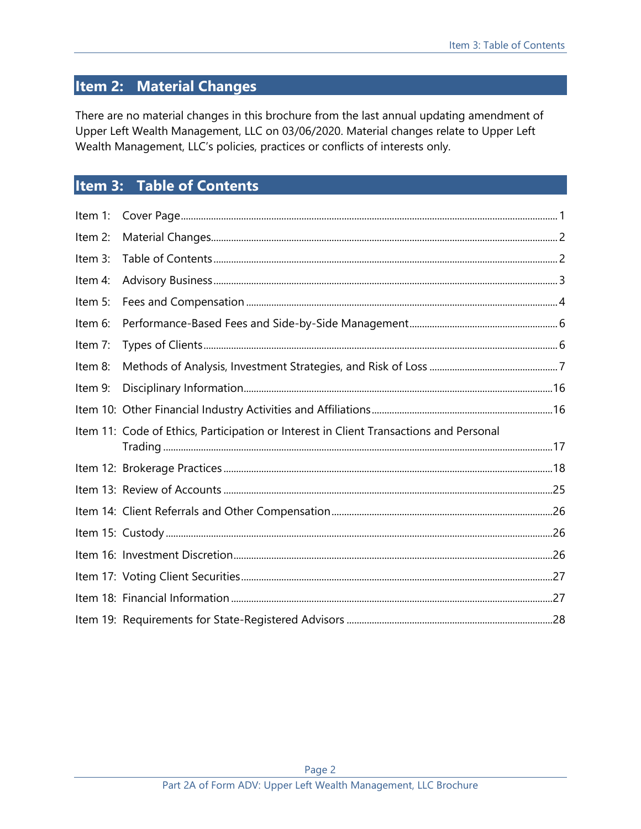# <span id="page-1-0"></span>**Item 2: Material Changes**

There are no material changes in this brochure from the last annual updating amendment of Upper Left Wealth Management, LLC on 03/06/2020. Material changes relate to Upper Left Wealth Management, LLC's policies, practices or conflicts of interests only.

# <span id="page-1-1"></span>**Item 3: Table of Contents**

| Item 1:    |                                                                                        |  |
|------------|----------------------------------------------------------------------------------------|--|
| Item 2:    |                                                                                        |  |
| Item 3:    |                                                                                        |  |
| Item 4:    |                                                                                        |  |
| Item $5$ : |                                                                                        |  |
| Item 6:    |                                                                                        |  |
| Item 7:    |                                                                                        |  |
| Item 8:    |                                                                                        |  |
| Item 9:    |                                                                                        |  |
|            |                                                                                        |  |
|            | Item 11: Code of Ethics, Participation or Interest in Client Transactions and Personal |  |
|            |                                                                                        |  |
|            |                                                                                        |  |
|            |                                                                                        |  |
|            |                                                                                        |  |
|            |                                                                                        |  |
|            |                                                                                        |  |
|            |                                                                                        |  |
|            |                                                                                        |  |
|            |                                                                                        |  |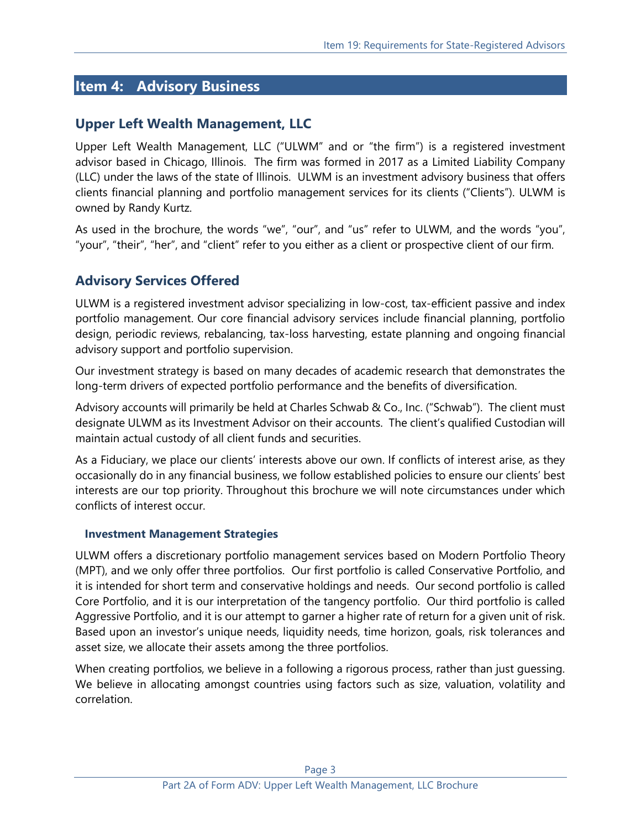## <span id="page-2-0"></span>**Item 4: Advisory Business**

## **Upper Left Wealth Management, LLC**

Upper Left Wealth Management, LLC ("ULWM" and or "the firm") is a registered investment advisor based in Chicago, Illinois. The firm was formed in 2017 as a Limited Liability Company (LLC) under the laws of the state of Illinois. ULWM is an investment advisory business that offers clients financial planning and portfolio management services for its clients ("Clients"). ULWM is owned by Randy Kurtz.

As used in the brochure, the words "we", "our", and "us" refer to ULWM, and the words "you", "your", "their", "her", and "client" refer to you either as a client or prospective client of our firm.

## **Advisory Services Offered**

ULWM is a registered investment advisor specializing in low-cost, tax-efficient passive and index portfolio management. Our core financial advisory services include financial planning, portfolio design, periodic reviews, rebalancing, tax-loss harvesting, estate planning and ongoing financial advisory support and portfolio supervision.

Our investment strategy is based on many decades of academic research that demonstrates the long-term drivers of expected portfolio performance and the benefits of diversification.

Advisory accounts will primarily be held at Charles Schwab & Co., Inc. ("Schwab"). The client must designate ULWM as its Investment Advisor on their accounts. The client's qualified Custodian will maintain actual custody of all client funds and securities.

As a Fiduciary, we place our clients' interests above our own. If conflicts of interest arise, as they occasionally do in any financial business, we follow established policies to ensure our clients' best interests are our top priority. Throughout this brochure we will note circumstances under which conflicts of interest occur.

#### **Investment Management Strategies**

ULWM offers a discretionary portfolio management services based on Modern Portfolio Theory (MPT), and we only offer three portfolios. Our first portfolio is called Conservative Portfolio, and it is intended for short term and conservative holdings and needs. Our second portfolio is called Core Portfolio, and it is our interpretation of the tangency portfolio. Our third portfolio is called Aggressive Portfolio, and it is our attempt to garner a higher rate of return for a given unit of risk. Based upon an investor's unique needs, liquidity needs, time horizon, goals, risk tolerances and asset size, we allocate their assets among the three portfolios.

When creating portfolios, we believe in a following a rigorous process, rather than just guessing. We believe in allocating amongst countries using factors such as size, valuation, volatility and correlation.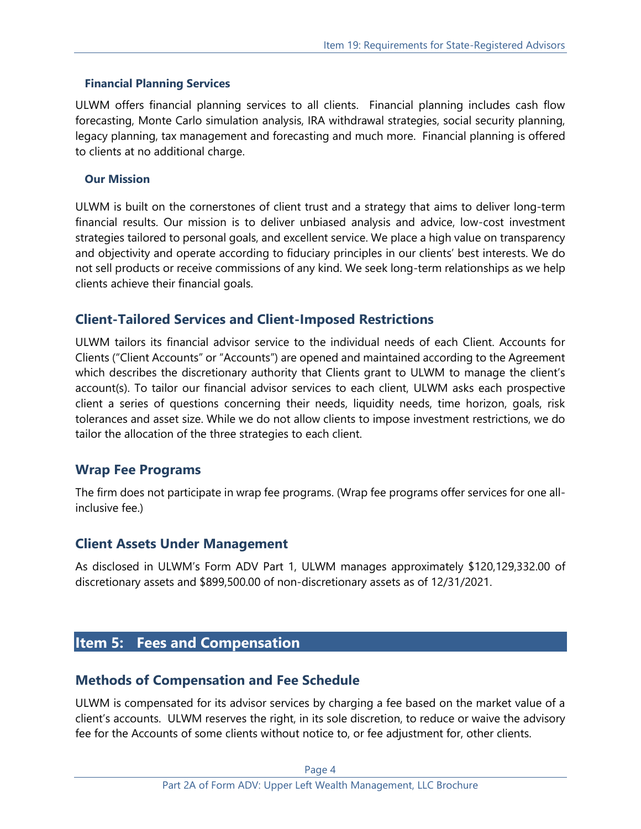#### **Financial Planning Services**

ULWM offers financial planning services to all clients. Financial planning includes cash flow forecasting, Monte Carlo simulation analysis, IRA withdrawal strategies, social security planning, legacy planning, tax management and forecasting and much more. Financial planning is offered to clients at no additional charge.

#### **Our Mission**

ULWM is built on the cornerstones of client trust and a strategy that aims to deliver long-term financial results. Our mission is to deliver unbiased analysis and advice, low-cost investment strategies tailored to personal goals, and excellent service. We place a high value on transparency and objectivity and operate according to fiduciary principles in our clients' best interests. We do not sell products or receive commissions of any kind. We seek long-term relationships as we help clients achieve their financial goals.

## **Client-Tailored Services and Client-Imposed Restrictions**

ULWM tailors its financial advisor service to the individual needs of each Client. Accounts for Clients ("Client Accounts" or "Accounts") are opened and maintained according to the Agreement which describes the discretionary authority that Clients grant to ULWM to manage the client's account(s). To tailor our financial advisor services to each client, ULWM asks each prospective client a series of questions concerning their needs, liquidity needs, time horizon, goals, risk tolerances and asset size. While we do not allow clients to impose investment restrictions, we do tailor the allocation of the three strategies to each client.

## **Wrap Fee Programs**

The firm does not participate in wrap fee programs. (Wrap fee programs offer services for one allinclusive fee.)

## **Client Assets Under Management**

As disclosed in ULWM's Form ADV Part 1, ULWM manages approximately \$120,129,332.00 of discretionary assets and \$899,500.00 of non-discretionary assets as of 12/31/2021.

## <span id="page-3-0"></span>**Item 5: Fees and Compensation**

## **Methods of Compensation and Fee Schedule**

ULWM is compensated for its advisor services by charging a fee based on the market value of a client's accounts. ULWM reserves the right, in its sole discretion, to reduce or waive the advisory fee for the Accounts of some clients without notice to, or fee adjustment for, other clients.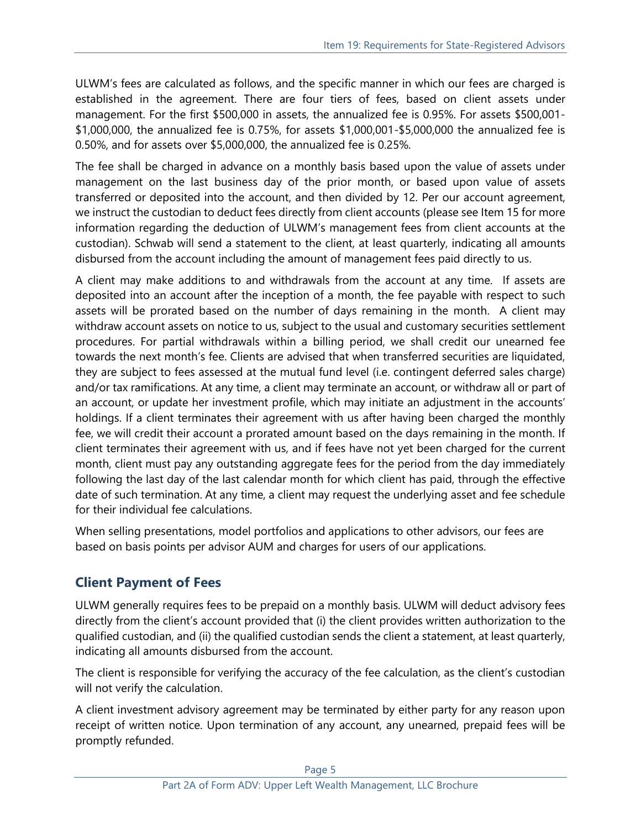ULWM's fees are calculated as follows, and the specific manner in which our fees are charged is established in the agreement. There are four tiers of fees, based on client assets under management. For the first \$500,000 in assets, the annualized fee is 0.95%. For assets \$500,001- \$1,000,000, the annualized fee is 0.75%, for assets \$1,000,001-\$5,000,000 the annualized fee is 0.50%, and for assets over \$5,000,000, the annualized fee is 0.25%.

The fee shall be charged in advance on a monthly basis based upon the value of assets under management on the last business day of the prior month, or based upon value of assets transferred or deposited into the account, and then divided by 12. Per our account agreement, we instruct the custodian to deduct fees directly from client accounts (please see Item 15 for more information regarding the deduction of ULWM's management fees from client accounts at the custodian). Schwab will send a statement to the client, at least quarterly, indicating all amounts disbursed from the account including the amount of management fees paid directly to us.

A client may make additions to and withdrawals from the account at any time. If assets are deposited into an account after the inception of a month, the fee payable with respect to such assets will be prorated based on the number of days remaining in the month. A client may withdraw account assets on notice to us, subject to the usual and customary securities settlement procedures. For partial withdrawals within a billing period, we shall credit our unearned fee towards the next month's fee. Clients are advised that when transferred securities are liquidated, they are subject to fees assessed at the mutual fund level (i.e. contingent deferred sales charge) and/or tax ramifications. At any time, a client may terminate an account, or withdraw all or part of an account, or update her investment profile, which may initiate an adjustment in the accounts' holdings. If a client terminates their agreement with us after having been charged the monthly fee, we will credit their account a prorated amount based on the days remaining in the month. If client terminates their agreement with us, and if fees have not yet been charged for the current month, client must pay any outstanding aggregate fees for the period from the day immediately following the last day of the last calendar month for which client has paid, through the effective date of such termination. At any time, a client may request the underlying asset and fee schedule for their individual fee calculations.

When selling presentations, model portfolios and applications to other advisors, our fees are based on basis points per advisor AUM and charges for users of our applications.

## **Client Payment of Fees**

ULWM generally requires fees to be prepaid on a monthly basis. ULWM will deduct advisory fees directly from the client's account provided that (i) the client provides written authorization to the qualified custodian, and (ii) the qualified custodian sends the client a statement, at least quarterly, indicating all amounts disbursed from the account.

The client is responsible for verifying the accuracy of the fee calculation, as the client's custodian will not verify the calculation.

A client investment advisory agreement may be terminated by either party for any reason upon receipt of written notice. Upon termination of any account, any unearned, prepaid fees will be promptly refunded.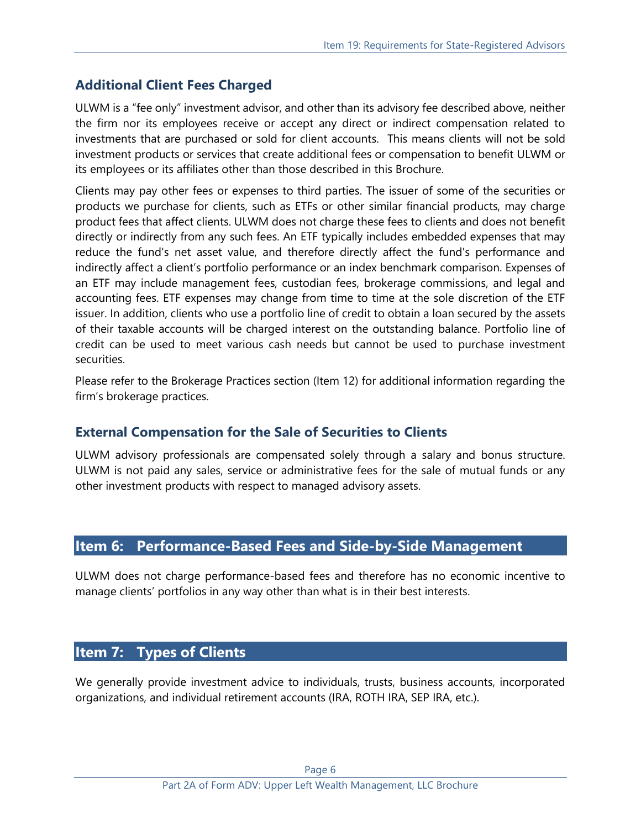## **Additional Client Fees Charged**

ULWM is a "fee only" investment advisor, and other than its advisory fee described above, neither the firm nor its employees receive or accept any direct or indirect compensation related to investments that are purchased or sold for client accounts. This means clients will not be sold investment products or services that create additional fees or compensation to benefit ULWM or its employees or its affiliates other than those described in this Brochure.

Clients may pay other fees or expenses to third parties. The issuer of some of the securities or products we purchase for clients, such as ETFs or other similar financial products, may charge product fees that affect clients. ULWM does not charge these fees to clients and does not benefit directly or indirectly from any such fees. An ETF typically includes embedded expenses that may reduce the fund's net asset value, and therefore directly affect the fund's performance and indirectly affect a client's portfolio performance or an index benchmark comparison. Expenses of an ETF may include management fees, custodian fees, brokerage commissions, and legal and accounting fees. ETF expenses may change from time to time at the sole discretion of the ETF issuer. In addition, clients who use a portfolio line of credit to obtain a loan secured by the assets of their taxable accounts will be charged interest on the outstanding balance. Portfolio line of credit can be used to meet various cash needs but cannot be used to purchase investment securities.

Please refer to the Brokerage Practices section (Item 12) for additional information regarding the firm's brokerage practices.

## **External Compensation for the Sale of Securities to Clients**

ULWM advisory professionals are compensated solely through a salary and bonus structure. ULWM is not paid any sales, service or administrative fees for the sale of mutual funds or any other investment products with respect to managed advisory assets.

## <span id="page-5-0"></span>**Item 6: Performance-Based Fees and Side-by-Side Management**

ULWM does not charge performance-based fees and therefore has no economic incentive to manage clients' portfolios in any way other than what is in their best interests.

## <span id="page-5-1"></span>**Item 7: Types of Clients**

We generally provide investment advice to individuals, trusts, business accounts, incorporated organizations, and individual retirement accounts (IRA, ROTH IRA, SEP IRA, etc.).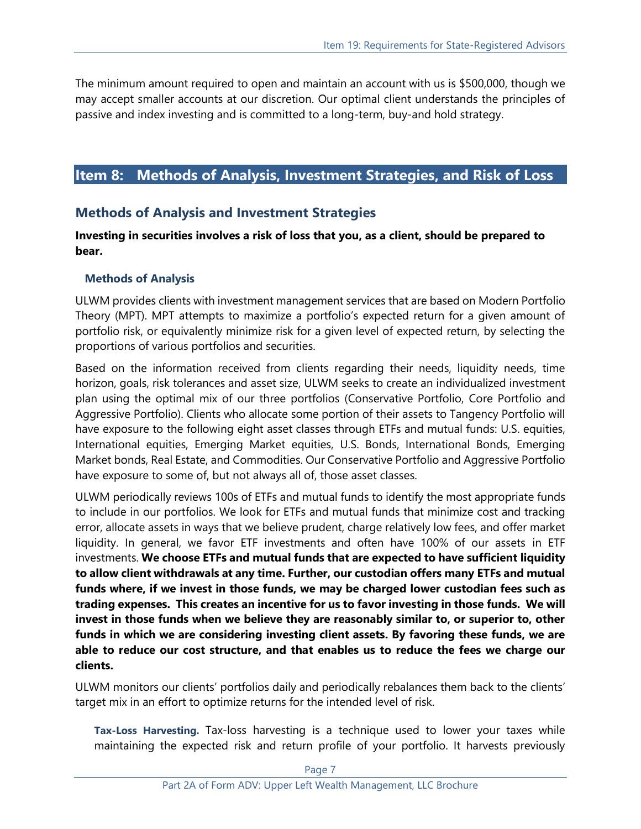The minimum amount required to open and maintain an account with us is \$500,000, though we may accept smaller accounts at our discretion. Our optimal client understands the principles of passive and index investing and is committed to a long-term, buy-and hold strategy.

## <span id="page-6-0"></span>**Item 8: Methods of Analysis, Investment Strategies, and Risk of Loss**

## **Methods of Analysis and Investment Strategies**

#### **Investing in securities involves a risk of loss that you, as a client, should be prepared to bear.**

#### **Methods of Analysis**

ULWM provides clients with investment management services that are based on Modern Portfolio Theory (MPT). MPT attempts to maximize a portfolio's expected return for a given amount of portfolio risk, or equivalently minimize risk for a given level of expected return, by selecting the proportions of various portfolios and securities.

Based on the information received from clients regarding their needs, liquidity needs, time horizon, goals, risk tolerances and asset size, ULWM seeks to create an individualized investment plan using the optimal mix of our three portfolios (Conservative Portfolio, Core Portfolio and Aggressive Portfolio). Clients who allocate some portion of their assets to Tangency Portfolio will have exposure to the following eight asset classes through ETFs and mutual funds: U.S. equities, International equities, Emerging Market equities, U.S. Bonds, International Bonds, Emerging Market bonds, Real Estate, and Commodities. Our Conservative Portfolio and Aggressive Portfolio have exposure to some of, but not always all of, those asset classes.

ULWM periodically reviews 100s of ETFs and mutual funds to identify the most appropriate funds to include in our portfolios. We look for ETFs and mutual funds that minimize cost and tracking error, allocate assets in ways that we believe prudent, charge relatively low fees, and offer market liquidity. In general, we favor ETF investments and often have 100% of our assets in ETF investments. **We choose ETFs and mutual funds that are expected to have sufficient liquidity to allow client withdrawals at any time. Further, our custodian offers many ETFs and mutual funds where, if we invest in those funds, we may be charged lower custodian fees such as trading expenses. This creates an incentive for us to favor investing in those funds. We will invest in those funds when we believe they are reasonably similar to, or superior to, other funds in which we are considering investing client assets. By favoring these funds, we are able to reduce our cost structure, and that enables us to reduce the fees we charge our clients.**

ULWM monitors our clients' portfolios daily and periodically rebalances them back to the clients' target mix in an effort to optimize returns for the intended level of risk.

**Tax-Loss Harvesting.** Tax-loss harvesting is a technique used to lower your taxes while maintaining the expected risk and return profile of your portfolio. It harvests previously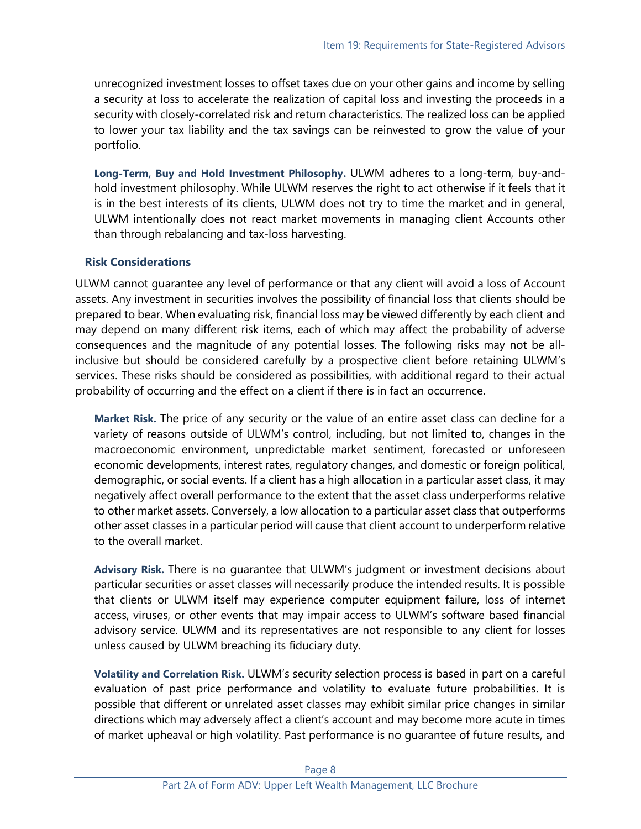unrecognized investment losses to offset taxes due on your other gains and income by selling a security at loss to accelerate the realization of capital loss and investing the proceeds in a security with closely-correlated risk and return characteristics. The realized loss can be applied to lower your tax liability and the tax savings can be reinvested to grow the value of your portfolio.

**Long-Term, Buy and Hold Investment Philosophy.** ULWM adheres to a long-term, buy-andhold investment philosophy. While ULWM reserves the right to act otherwise if it feels that it is in the best interests of its clients, ULWM does not try to time the market and in general, ULWM intentionally does not react market movements in managing client Accounts other than through rebalancing and tax-loss harvesting.

#### **Risk Considerations**

ULWM cannot guarantee any level of performance or that any client will avoid a loss of Account assets. Any investment in securities involves the possibility of financial loss that clients should be prepared to bear. When evaluating risk, financial loss may be viewed differently by each client and may depend on many different risk items, each of which may affect the probability of adverse consequences and the magnitude of any potential losses. The following risks may not be allinclusive but should be considered carefully by a prospective client before retaining ULWM's services. These risks should be considered as possibilities, with additional regard to their actual probability of occurring and the effect on a client if there is in fact an occurrence.

**Market Risk.** The price of any security or the value of an entire asset class can decline for a variety of reasons outside of ULWM's control, including, but not limited to, changes in the macroeconomic environment, unpredictable market sentiment, forecasted or unforeseen economic developments, interest rates, regulatory changes, and domestic or foreign political, demographic, or social events. If a client has a high allocation in a particular asset class, it may negatively affect overall performance to the extent that the asset class underperforms relative to other market assets. Conversely, a low allocation to a particular asset class that outperforms other asset classes in a particular period will cause that client account to underperform relative to the overall market.

**Advisory Risk.** There is no guarantee that ULWM's judgment or investment decisions about particular securities or asset classes will necessarily produce the intended results. It is possible that clients or ULWM itself may experience computer equipment failure, loss of internet access, viruses, or other events that may impair access to ULWM's software based financial advisory service. ULWM and its representatives are not responsible to any client for losses unless caused by ULWM breaching its fiduciary duty.

**Volatility and Correlation Risk.** ULWM's security selection process is based in part on a careful evaluation of past price performance and volatility to evaluate future probabilities. It is possible that different or unrelated asset classes may exhibit similar price changes in similar directions which may adversely affect a client's account and may become more acute in times of market upheaval or high volatility. Past performance is no guarantee of future results, and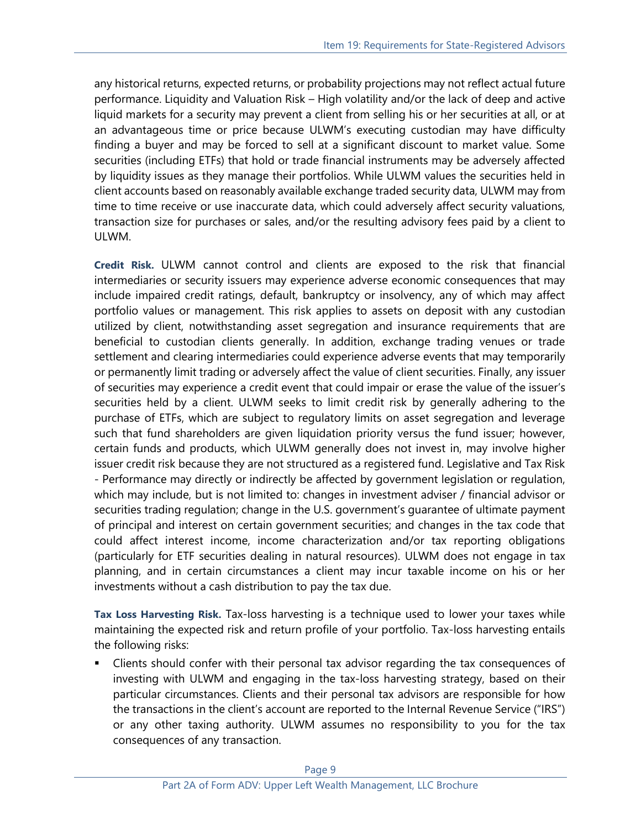any historical returns, expected returns, or probability projections may not reflect actual future performance. Liquidity and Valuation Risk – High volatility and/or the lack of deep and active liquid markets for a security may prevent a client from selling his or her securities at all, or at an advantageous time or price because ULWM's executing custodian may have difficulty finding a buyer and may be forced to sell at a significant discount to market value. Some securities (including ETFs) that hold or trade financial instruments may be adversely affected by liquidity issues as they manage their portfolios. While ULWM values the securities held in client accounts based on reasonably available exchange traded security data, ULWM may from time to time receive or use inaccurate data, which could adversely affect security valuations, transaction size for purchases or sales, and/or the resulting advisory fees paid by a client to ULWM.

**Credit Risk.** ULWM cannot control and clients are exposed to the risk that financial intermediaries or security issuers may experience adverse economic consequences that may include impaired credit ratings, default, bankruptcy or insolvency, any of which may affect portfolio values or management. This risk applies to assets on deposit with any custodian utilized by client, notwithstanding asset segregation and insurance requirements that are beneficial to custodian clients generally. In addition, exchange trading venues or trade settlement and clearing intermediaries could experience adverse events that may temporarily or permanently limit trading or adversely affect the value of client securities. Finally, any issuer of securities may experience a credit event that could impair or erase the value of the issuer's securities held by a client. ULWM seeks to limit credit risk by generally adhering to the purchase of ETFs, which are subject to regulatory limits on asset segregation and leverage such that fund shareholders are given liquidation priority versus the fund issuer; however, certain funds and products, which ULWM generally does not invest in, may involve higher issuer credit risk because they are not structured as a registered fund. Legislative and Tax Risk - Performance may directly or indirectly be affected by government legislation or regulation, which may include, but is not limited to: changes in investment adviser / financial advisor or securities trading regulation; change in the U.S. government's guarantee of ultimate payment of principal and interest on certain government securities; and changes in the tax code that could affect interest income, income characterization and/or tax reporting obligations (particularly for ETF securities dealing in natural resources). ULWM does not engage in tax planning, and in certain circumstances a client may incur taxable income on his or her investments without a cash distribution to pay the tax due.

**Tax Loss Harvesting Risk.** Tax-loss harvesting is a technique used to lower your taxes while maintaining the expected risk and return profile of your portfolio. Tax-loss harvesting entails the following risks:

Clients should confer with their personal tax advisor regarding the tax consequences of investing with ULWM and engaging in the tax-loss harvesting strategy, based on their particular circumstances. Clients and their personal tax advisors are responsible for how the transactions in the client's account are reported to the Internal Revenue Service ("IRS") or any other taxing authority. ULWM assumes no responsibility to you for the tax consequences of any transaction.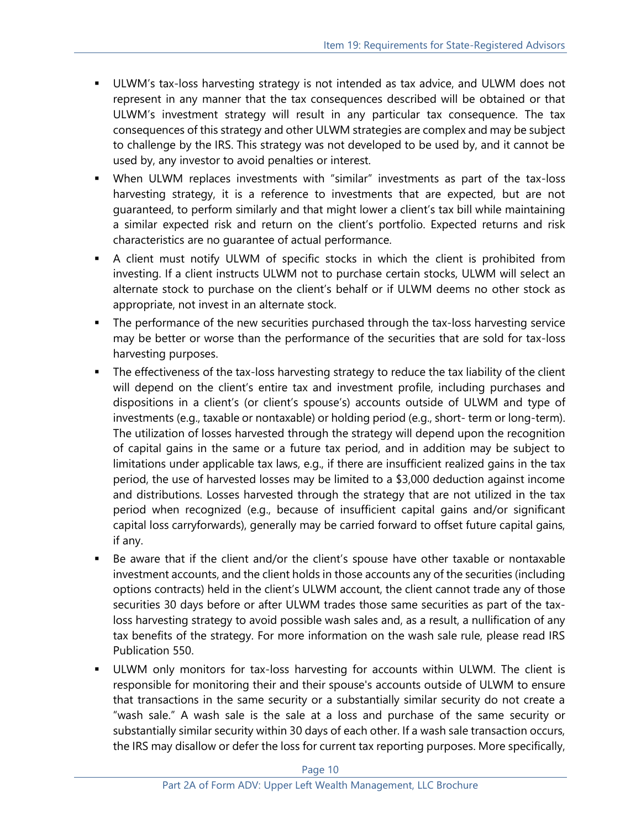- **■** ULWM's tax-loss harvesting strategy is not intended as tax advice, and ULWM does not represent in any manner that the tax consequences described will be obtained or that ULWM's investment strategy will result in any particular tax consequence. The tax consequences of this strategy and other ULWM strategies are complex and may be subject to challenge by the IRS. This strategy was not developed to be used by, and it cannot be used by, any investor to avoid penalties or interest.
- When ULWM replaces investments with "similar" investments as part of the tax-loss harvesting strategy, it is a reference to investments that are expected, but are not guaranteed, to perform similarly and that might lower a client's tax bill while maintaining a similar expected risk and return on the client's portfolio. Expected returns and risk characteristics are no guarantee of actual performance.
- A client must notify ULWM of specific stocks in which the client is prohibited from investing. If a client instructs ULWM not to purchase certain stocks, ULWM will select an alternate stock to purchase on the client's behalf or if ULWM deems no other stock as appropriate, not invest in an alternate stock.
- **■** The performance of the new securities purchased through the tax-loss harvesting service may be better or worse than the performance of the securities that are sold for tax-loss harvesting purposes.
- **•** The effectiveness of the tax-loss harvesting strategy to reduce the tax liability of the client will depend on the client's entire tax and investment profile, including purchases and dispositions in a client's (or client's spouse's) accounts outside of ULWM and type of investments (e.g., taxable or nontaxable) or holding period (e.g., short- term or long-term). The utilization of losses harvested through the strategy will depend upon the recognition of capital gains in the same or a future tax period, and in addition may be subject to limitations under applicable tax laws, e.g., if there are insufficient realized gains in the tax period, the use of harvested losses may be limited to a \$3,000 deduction against income and distributions. Losses harvested through the strategy that are not utilized in the tax period when recognized (e.g., because of insufficient capital gains and/or significant capital loss carryforwards), generally may be carried forward to offset future capital gains, if any.
- Be aware that if the client and/or the client's spouse have other taxable or nontaxable investment accounts, and the client holds in those accounts any of the securities (including options contracts) held in the client's ULWM account, the client cannot trade any of those securities 30 days before or after ULWM trades those same securities as part of the taxloss harvesting strategy to avoid possible wash sales and, as a result, a nullification of any tax benefits of the strategy. For more information on the wash sale rule, please read IRS Publication 550.
- ULWM only monitors for tax-loss harvesting for accounts within ULWM. The client is responsible for monitoring their and their spouse's accounts outside of ULWM to ensure that transactions in the same security or a substantially similar security do not create a "wash sale." A wash sale is the sale at a loss and purchase of the same security or substantially similar security within 30 days of each other. If a wash sale transaction occurs, the IRS may disallow or defer the loss for current tax reporting purposes. More specifically,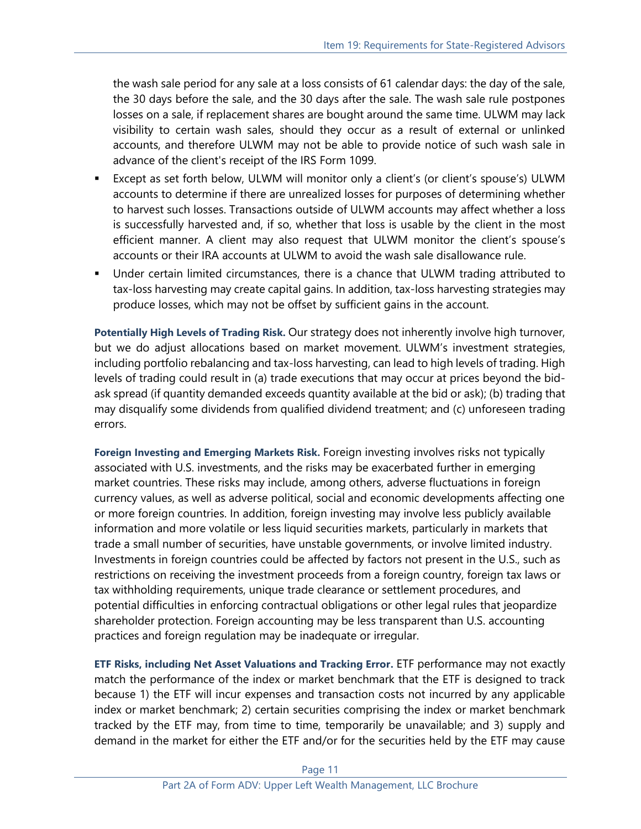the wash sale period for any sale at a loss consists of 61 calendar days: the day of the sale, the 30 days before the sale, and the 30 days after the sale. The wash sale rule postpones losses on a sale, if replacement shares are bought around the same time. ULWM may lack visibility to certain wash sales, should they occur as a result of external or unlinked accounts, and therefore ULWM may not be able to provide notice of such wash sale in advance of the client's receipt of the IRS Form 1099.

- Except as set forth below, ULWM will monitor only a client's (or client's spouse's) ULWM accounts to determine if there are unrealized losses for purposes of determining whether to harvest such losses. Transactions outside of ULWM accounts may affect whether a loss is successfully harvested and, if so, whether that loss is usable by the client in the most efficient manner. A client may also request that ULWM monitor the client's spouse's accounts or their IRA accounts at ULWM to avoid the wash sale disallowance rule.
- Under certain limited circumstances, there is a chance that ULWM trading attributed to tax-loss harvesting may create capital gains. In addition, tax-loss harvesting strategies may produce losses, which may not be offset by sufficient gains in the account.

**Potentially High Levels of Trading Risk.** Our strategy does not inherently involve high turnover, but we do adjust allocations based on market movement. ULWM's investment strategies, including portfolio rebalancing and tax-loss harvesting, can lead to high levels of trading. High levels of trading could result in (a) trade executions that may occur at prices beyond the bidask spread (if quantity demanded exceeds quantity available at the bid or ask); (b) trading that may disqualify some dividends from qualified dividend treatment; and (c) unforeseen trading errors.

**Foreign Investing and Emerging Markets Risk.** Foreign investing involves risks not typically associated with U.S. investments, and the risks may be exacerbated further in emerging market countries. These risks may include, among others, adverse fluctuations in foreign currency values, as well as adverse political, social and economic developments affecting one or more foreign countries. In addition, foreign investing may involve less publicly available information and more volatile or less liquid securities markets, particularly in markets that trade a small number of securities, have unstable governments, or involve limited industry. Investments in foreign countries could be affected by factors not present in the U.S., such as restrictions on receiving the investment proceeds from a foreign country, foreign tax laws or tax withholding requirements, unique trade clearance or settlement procedures, and potential difficulties in enforcing contractual obligations or other legal rules that jeopardize shareholder protection. Foreign accounting may be less transparent than U.S. accounting practices and foreign regulation may be inadequate or irregular.

**ETF Risks, including Net Asset Valuations and Tracking Error.** ETF performance may not exactly match the performance of the index or market benchmark that the ETF is designed to track because 1) the ETF will incur expenses and transaction costs not incurred by any applicable index or market benchmark; 2) certain securities comprising the index or market benchmark tracked by the ETF may, from time to time, temporarily be unavailable; and 3) supply and demand in the market for either the ETF and/or for the securities held by the ETF may cause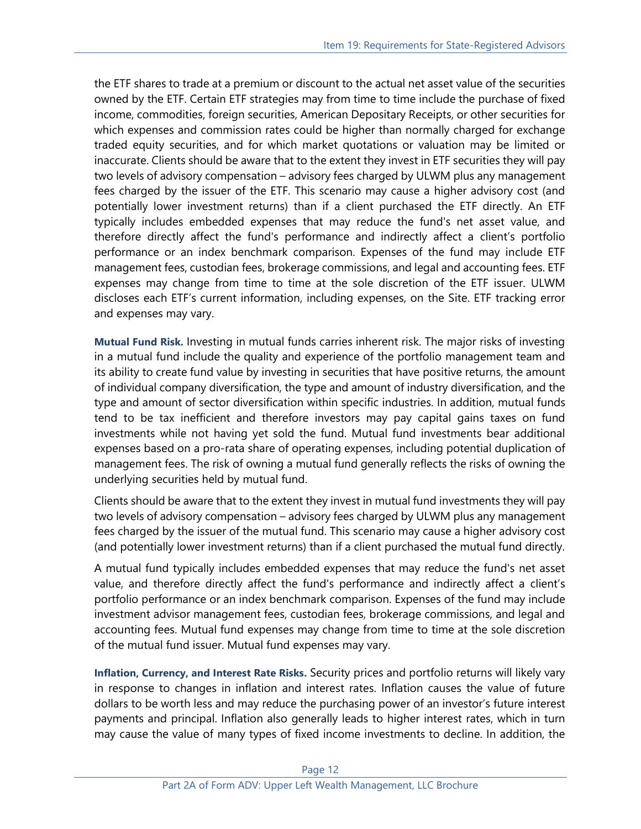the ETF shares to trade at a premium or discount to the actual net asset value of the securities owned by the ETF. Certain ETF strategies may from time to time include the purchase of fixed income, commodities, foreign securities, American Depositary Receipts, or other securities for which expenses and commission rates could be higher than normally charged for exchange traded equity securities, and for which market quotations or valuation may be limited or inaccurate. Clients should be aware that to the extent they invest in ETF securities they will pay two levels of advisory compensation – advisory fees charged by ULWM plus any management fees charged by the issuer of the ETF. This scenario may cause a higher advisory cost (and potentially lower investment returns) than if a client purchased the ETF directly. An ETF typically includes embedded expenses that may reduce the fund's net asset value, and therefore directly affect the fund's performance and indirectly affect a client's portfolio performance or an index benchmark comparison. Expenses of the fund may include ETF management fees, custodian fees, brokerage commissions, and legal and accounting fees. ETF expenses may change from time to time at the sole discretion of the ETF issuer. ULWM discloses each ETF's current information, including expenses, on the Site. ETF tracking error and expenses may vary.

**Mutual Fund Risk.** Investing in mutual funds carries inherent risk. The major risks of investing in a mutual fund include the quality and experience of the portfolio management team and its ability to create fund value by investing in securities that have positive returns, the amount of individual company diversification, the type and amount of industry diversification, and the type and amount of sector diversification within specific industries. In addition, mutual funds tend to be tax inefficient and therefore investors may pay capital gains taxes on fund investments while not having yet sold the fund. Mutual fund investments bear additional expenses based on a pro-rata share of operating expenses, including potential duplication of management fees. The risk of owning a mutual fund generally reflects the risks of owning the underlying securities held by mutual fund.

Clients should be aware that to the extent they invest in mutual fund investments they will pay two levels of advisory compensation – advisory fees charged by ULWM plus any management fees charged by the issuer of the mutual fund. This scenario may cause a higher advisory cost (and potentially lower investment returns) than if a client purchased the mutual fund directly.

A mutual fund typically includes embedded expenses that may reduce the fund's net asset value, and therefore directly affect the fund's performance and indirectly affect a client's portfolio performance or an index benchmark comparison. Expenses of the fund may include investment advisor management fees, custodian fees, brokerage commissions, and legal and accounting fees. Mutual fund expenses may change from time to time at the sole discretion of the mutual fund issuer. Mutual fund expenses may vary.

**Inflation, Currency, and Interest Rate Risks.** Security prices and portfolio returns will likely vary in response to changes in inflation and interest rates. Inflation causes the value of future dollars to be worth less and may reduce the purchasing power of an investor's future interest payments and principal. Inflation also generally leads to higher interest rates, which in turn may cause the value of many types of fixed income investments to decline. In addition, the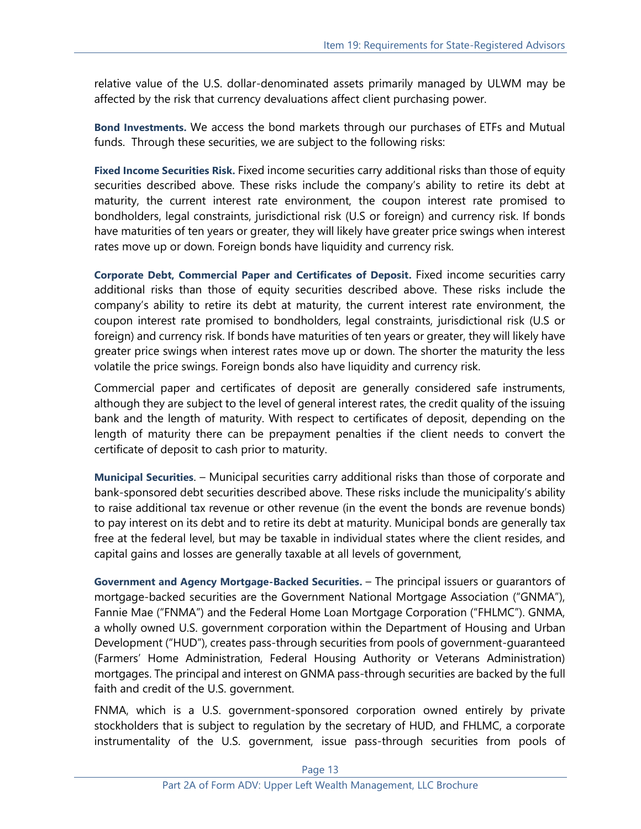relative value of the U.S. dollar-denominated assets primarily managed by ULWM may be affected by the risk that currency devaluations affect client purchasing power.

**Bond Investments.** We access the bond markets through our purchases of ETFs and Mutual funds. Through these securities, we are subject to the following risks:

**Fixed Income Securities Risk.** Fixed income securities carry additional risks than those of equity securities described above. These risks include the company's ability to retire its debt at maturity, the current interest rate environment, the coupon interest rate promised to bondholders, legal constraints, jurisdictional risk (U.S or foreign) and currency risk. If bonds have maturities of ten years or greater, they will likely have greater price swings when interest rates move up or down. Foreign bonds have liquidity and currency risk.

**Corporate Debt, Commercial Paper and Certificates of Deposit.** Fixed income securities carry additional risks than those of equity securities described above. These risks include the company's ability to retire its debt at maturity, the current interest rate environment, the coupon interest rate promised to bondholders, legal constraints, jurisdictional risk (U.S or foreign) and currency risk. If bonds have maturities of ten years or greater, they will likely have greater price swings when interest rates move up or down. The shorter the maturity the less volatile the price swings. Foreign bonds also have liquidity and currency risk.

Commercial paper and certificates of deposit are generally considered safe instruments, although they are subject to the level of general interest rates, the credit quality of the issuing bank and the length of maturity. With respect to certificates of deposit, depending on the length of maturity there can be prepayment penalties if the client needs to convert the certificate of deposit to cash prior to maturity.

**Municipal Securities**. – Municipal securities carry additional risks than those of corporate and bank-sponsored debt securities described above. These risks include the municipality's ability to raise additional tax revenue or other revenue (in the event the bonds are revenue bonds) to pay interest on its debt and to retire its debt at maturity. Municipal bonds are generally tax free at the federal level, but may be taxable in individual states where the client resides, and capital gains and losses are generally taxable at all levels of government,

**Government and Agency Mortgage-Backed Securities.** – The principal issuers or guarantors of mortgage-backed securities are the Government National Mortgage Association ("GNMA"), Fannie Mae ("FNMA") and the Federal Home Loan Mortgage Corporation ("FHLMC"). GNMA, a wholly owned U.S. government corporation within the Department of Housing and Urban Development ("HUD"), creates pass-through securities from pools of government-guaranteed (Farmers' Home Administration, Federal Housing Authority or Veterans Administration) mortgages. The principal and interest on GNMA pass-through securities are backed by the full faith and credit of the U.S. government.

FNMA, which is a U.S. government-sponsored corporation owned entirely by private stockholders that is subject to regulation by the secretary of HUD, and FHLMC, a corporate instrumentality of the U.S. government, issue pass-through securities from pools of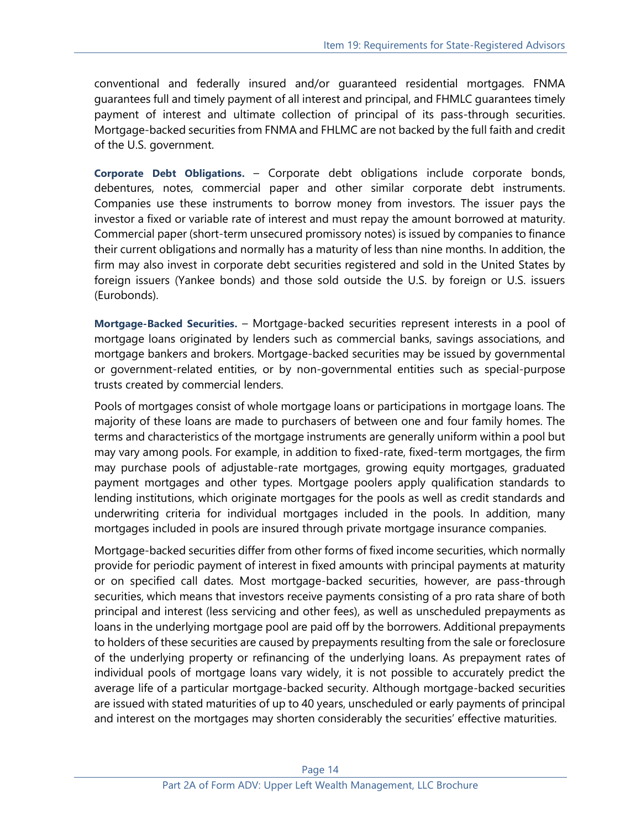conventional and federally insured and/or guaranteed residential mortgages. FNMA guarantees full and timely payment of all interest and principal, and FHMLC guarantees timely payment of interest and ultimate collection of principal of its pass-through securities. Mortgage-backed securities from FNMA and FHLMC are not backed by the full faith and credit of the U.S. government.

**Corporate Debt Obligations.** – Corporate debt obligations include corporate bonds, debentures, notes, commercial paper and other similar corporate debt instruments. Companies use these instruments to borrow money from investors. The issuer pays the investor a fixed or variable rate of interest and must repay the amount borrowed at maturity. Commercial paper (short-term unsecured promissory notes) is issued by companies to finance their current obligations and normally has a maturity of less than nine months. In addition, the firm may also invest in corporate debt securities registered and sold in the United States by foreign issuers (Yankee bonds) and those sold outside the U.S. by foreign or U.S. issuers (Eurobonds).

**Mortgage-Backed Securities.** – Mortgage-backed securities represent interests in a pool of mortgage loans originated by lenders such as commercial banks, savings associations, and mortgage bankers and brokers. Mortgage-backed securities may be issued by governmental or government-related entities, or by non-governmental entities such as special-purpose trusts created by commercial lenders.

Pools of mortgages consist of whole mortgage loans or participations in mortgage loans. The majority of these loans are made to purchasers of between one and four family homes. The terms and characteristics of the mortgage instruments are generally uniform within a pool but may vary among pools. For example, in addition to fixed-rate, fixed-term mortgages, the firm may purchase pools of adjustable-rate mortgages, growing equity mortgages, graduated payment mortgages and other types. Mortgage poolers apply qualification standards to lending institutions, which originate mortgages for the pools as well as credit standards and underwriting criteria for individual mortgages included in the pools. In addition, many mortgages included in pools are insured through private mortgage insurance companies.

Mortgage-backed securities differ from other forms of fixed income securities, which normally provide for periodic payment of interest in fixed amounts with principal payments at maturity or on specified call dates. Most mortgage-backed securities, however, are pass-through securities, which means that investors receive payments consisting of a pro rata share of both principal and interest (less servicing and other fees), as well as unscheduled prepayments as loans in the underlying mortgage pool are paid off by the borrowers. Additional prepayments to holders of these securities are caused by prepayments resulting from the sale or foreclosure of the underlying property or refinancing of the underlying loans. As prepayment rates of individual pools of mortgage loans vary widely, it is not possible to accurately predict the average life of a particular mortgage-backed security. Although mortgage-backed securities are issued with stated maturities of up to 40 years, unscheduled or early payments of principal and interest on the mortgages may shorten considerably the securities' effective maturities.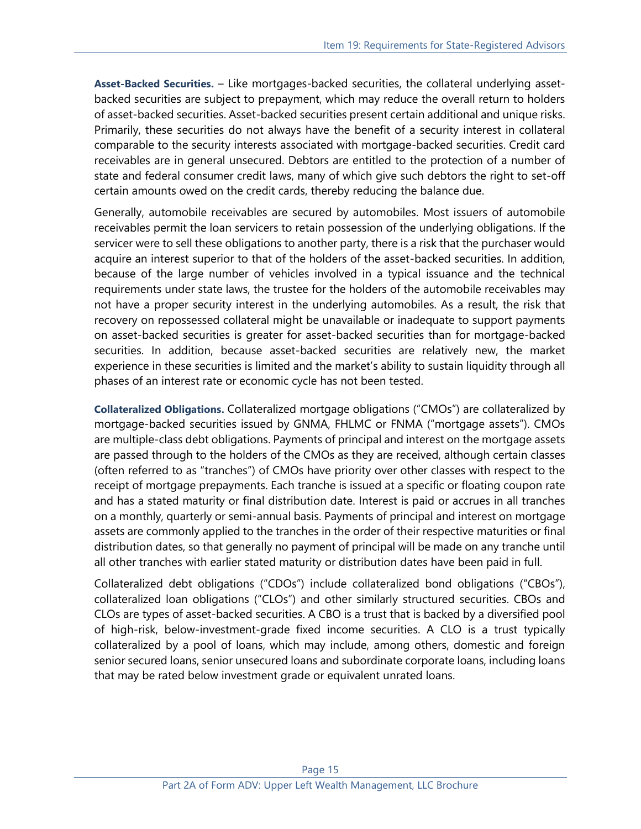**Asset-Backed Securities.** – Like mortgages-backed securities, the collateral underlying assetbacked securities are subject to prepayment, which may reduce the overall return to holders of asset-backed securities. Asset-backed securities present certain additional and unique risks. Primarily, these securities do not always have the benefit of a security interest in collateral comparable to the security interests associated with mortgage-backed securities. Credit card receivables are in general unsecured. Debtors are entitled to the protection of a number of state and federal consumer credit laws, many of which give such debtors the right to set-off certain amounts owed on the credit cards, thereby reducing the balance due.

Generally, automobile receivables are secured by automobiles. Most issuers of automobile receivables permit the loan servicers to retain possession of the underlying obligations. If the servicer were to sell these obligations to another party, there is a risk that the purchaser would acquire an interest superior to that of the holders of the asset-backed securities. In addition, because of the large number of vehicles involved in a typical issuance and the technical requirements under state laws, the trustee for the holders of the automobile receivables may not have a proper security interest in the underlying automobiles. As a result, the risk that recovery on repossessed collateral might be unavailable or inadequate to support payments on asset-backed securities is greater for asset-backed securities than for mortgage-backed securities. In addition, because asset-backed securities are relatively new, the market experience in these securities is limited and the market's ability to sustain liquidity through all phases of an interest rate or economic cycle has not been tested.

**Collateralized Obligations.** Collateralized mortgage obligations ("CMOs") are collateralized by mortgage-backed securities issued by GNMA, FHLMC or FNMA ("mortgage assets"). CMOs are multiple-class debt obligations. Payments of principal and interest on the mortgage assets are passed through to the holders of the CMOs as they are received, although certain classes (often referred to as "tranches") of CMOs have priority over other classes with respect to the receipt of mortgage prepayments. Each tranche is issued at a specific or floating coupon rate and has a stated maturity or final distribution date. Interest is paid or accrues in all tranches on a monthly, quarterly or semi-annual basis. Payments of principal and interest on mortgage assets are commonly applied to the tranches in the order of their respective maturities or final distribution dates, so that generally no payment of principal will be made on any tranche until all other tranches with earlier stated maturity or distribution dates have been paid in full.

Collateralized debt obligations ("CDOs") include collateralized bond obligations ("CBOs"), collateralized loan obligations ("CLOs") and other similarly structured securities. CBOs and CLOs are types of asset-backed securities. A CBO is a trust that is backed by a diversified pool of high-risk, below-investment-grade fixed income securities. A CLO is a trust typically collateralized by a pool of loans, which may include, among others, domestic and foreign senior secured loans, senior unsecured loans and subordinate corporate loans, including loans that may be rated below investment grade or equivalent unrated loans.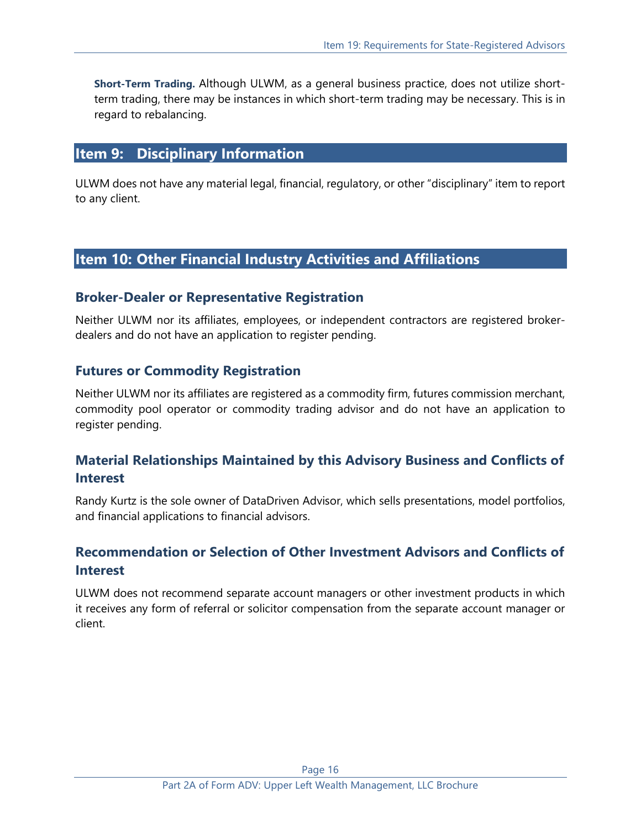**Short-Term Trading.** Although ULWM, as a general business practice, does not utilize shortterm trading, there may be instances in which short-term trading may be necessary. This is in regard to rebalancing.

#### <span id="page-15-0"></span>**Item 9: Disciplinary Information**

ULWM does not have any material legal, financial, regulatory, or other "disciplinary" item to report to any client.

## <span id="page-15-1"></span>**Item 10: Other Financial Industry Activities and Affiliations**

#### **Broker-Dealer or Representative Registration**

Neither ULWM nor its affiliates, employees, or independent contractors are registered brokerdealers and do not have an application to register pending.

#### **Futures or Commodity Registration**

Neither ULWM nor its affiliates are registered as a commodity firm, futures commission merchant, commodity pool operator or commodity trading advisor and do not have an application to register pending.

## **Material Relationships Maintained by this Advisory Business and Conflicts of Interest**

Randy Kurtz is the sole owner of DataDriven Advisor, which sells presentations, model portfolios, and financial applications to financial advisors.

## **Recommendation or Selection of Other Investment Advisors and Conflicts of Interest**

ULWM does not recommend separate account managers or other investment products in which it receives any form of referral or solicitor compensation from the separate account manager or client.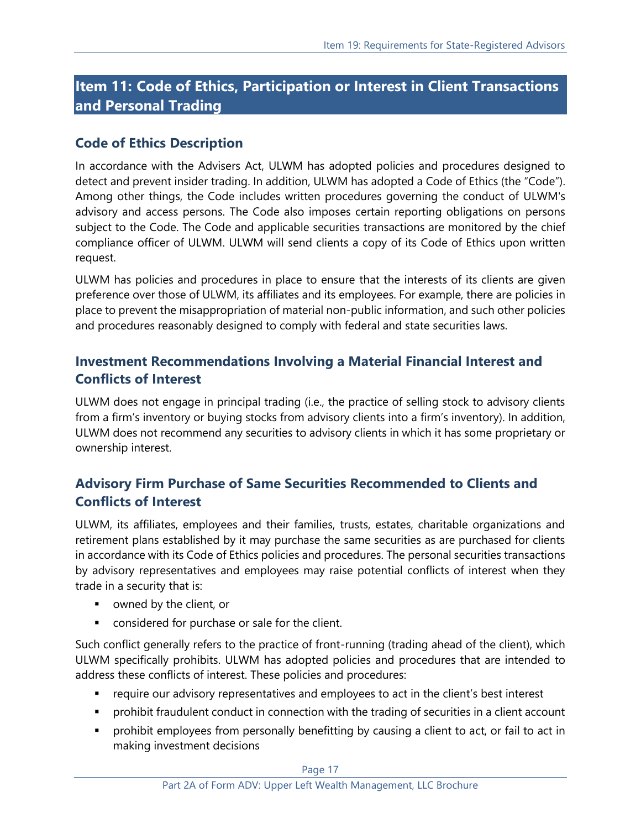# <span id="page-16-0"></span>**Item 11: Code of Ethics, Participation or Interest in Client Transactions and Personal Trading**

## **Code of Ethics Description**

In accordance with the Advisers Act, ULWM has adopted policies and procedures designed to detect and prevent insider trading. In addition, ULWM has adopted a Code of Ethics (the "Code"). Among other things, the Code includes written procedures governing the conduct of ULWM's advisory and access persons. The Code also imposes certain reporting obligations on persons subject to the Code. The Code and applicable securities transactions are monitored by the chief compliance officer of ULWM. ULWM will send clients a copy of its Code of Ethics upon written request.

ULWM has policies and procedures in place to ensure that the interests of its clients are given preference over those of ULWM, its affiliates and its employees. For example, there are policies in place to prevent the misappropriation of material non-public information, and such other policies and procedures reasonably designed to comply with federal and state securities laws.

## **Investment Recommendations Involving a Material Financial Interest and Conflicts of Interest**

ULWM does not engage in principal trading (i.e., the practice of selling stock to advisory clients from a firm's inventory or buying stocks from advisory clients into a firm's inventory). In addition, ULWM does not recommend any securities to advisory clients in which it has some proprietary or ownership interest.

## **Advisory Firm Purchase of Same Securities Recommended to Clients and Conflicts of Interest**

ULWM, its affiliates, employees and their families, trusts, estates, charitable organizations and retirement plans established by it may purchase the same securities as are purchased for clients in accordance with its Code of Ethics policies and procedures. The personal securities transactions by advisory representatives and employees may raise potential conflicts of interest when they trade in a security that is:

- owned by the client, or
- considered for purchase or sale for the client.

Such conflict generally refers to the practice of front-running (trading ahead of the client), which ULWM specifically prohibits. ULWM has adopted policies and procedures that are intended to address these conflicts of interest. These policies and procedures:

- require our advisory representatives and employees to act in the client's best interest
- **•** prohibit fraudulent conduct in connection with the trading of securities in a client account
- prohibit employees from personally benefitting by causing a client to act, or fail to act in making investment decisions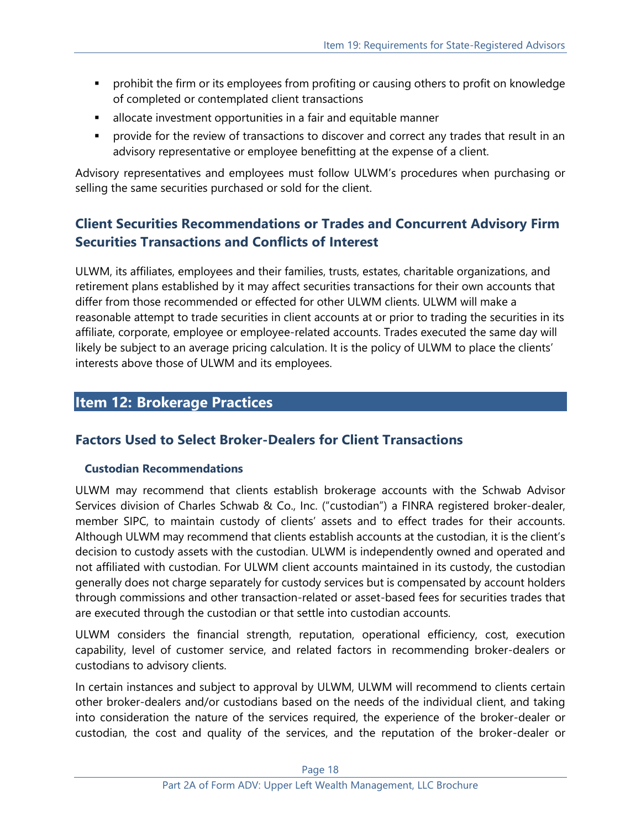- **•** prohibit the firm or its employees from profiting or causing others to profit on knowledge of completed or contemplated client transactions
- **EXEDEE** allocate investment opportunities in a fair and equitable manner
- **•** provide for the review of transactions to discover and correct any trades that result in an advisory representative or employee benefitting at the expense of a client.

Advisory representatives and employees must follow ULWM's procedures when purchasing or selling the same securities purchased or sold for the client.

## **Client Securities Recommendations or Trades and Concurrent Advisory Firm Securities Transactions and Conflicts of Interest**

ULWM, its affiliates, employees and their families, trusts, estates, charitable organizations, and retirement plans established by it may affect securities transactions for their own accounts that differ from those recommended or effected for other ULWM clients. ULWM will make a reasonable attempt to trade securities in client accounts at or prior to trading the securities in its affiliate, corporate, employee or employee-related accounts. Trades executed the same day will likely be subject to an average pricing calculation. It is the policy of ULWM to place the clients' interests above those of ULWM and its employees.

## <span id="page-17-0"></span>**Item 12: Brokerage Practices**

## **Factors Used to Select Broker-Dealers for Client Transactions**

#### **Custodian Recommendations**

ULWM may recommend that clients establish brokerage accounts with the Schwab Advisor Services division of Charles Schwab & Co., Inc. ("custodian") a FINRA registered broker-dealer, member SIPC, to maintain custody of clients' assets and to effect trades for their accounts. Although ULWM may recommend that clients establish accounts at the custodian, it is the client's decision to custody assets with the custodian. ULWM is independently owned and operated and not affiliated with custodian. For ULWM client accounts maintained in its custody, the custodian generally does not charge separately for custody services but is compensated by account holders through commissions and other transaction-related or asset-based fees for securities trades that are executed through the custodian or that settle into custodian accounts.

ULWM considers the financial strength, reputation, operational efficiency, cost, execution capability, level of customer service, and related factors in recommending broker-dealers or custodians to advisory clients.

In certain instances and subject to approval by ULWM, ULWM will recommend to clients certain other broker-dealers and/or custodians based on the needs of the individual client, and taking into consideration the nature of the services required, the experience of the broker-dealer or custodian, the cost and quality of the services, and the reputation of the broker-dealer or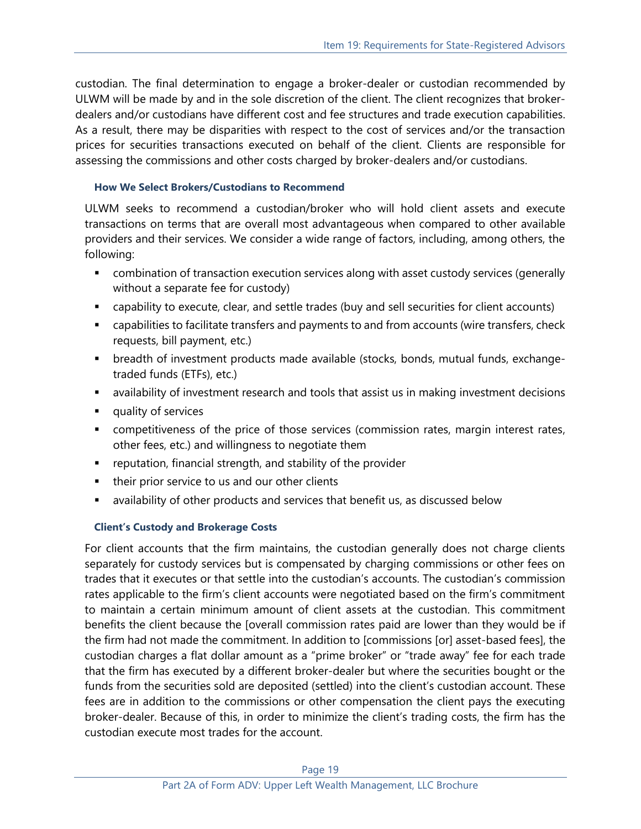custodian. The final determination to engage a broker-dealer or custodian recommended by ULWM will be made by and in the sole discretion of the client. The client recognizes that brokerdealers and/or custodians have different cost and fee structures and trade execution capabilities. As a result, there may be disparities with respect to the cost of services and/or the transaction prices for securities transactions executed on behalf of the client. Clients are responsible for assessing the commissions and other costs charged by broker-dealers and/or custodians.

#### **How We Select Brokers/Custodians to Recommend**

ULWM seeks to recommend a custodian/broker who will hold client assets and execute transactions on terms that are overall most advantageous when compared to other available providers and their services. We consider a wide range of factors, including, among others, the following:

- combination of transaction execution services along with asset custody services (generally without a separate fee for custody)
- capability to execute, clear, and settle trades (buy and sell securities for client accounts)
- capabilities to facilitate transfers and payments to and from accounts (wire transfers, check requests, bill payment, etc.)
- breadth of investment products made available (stocks, bonds, mutual funds, exchangetraded funds (ETFs), etc.)
- **■** availability of investment research and tools that assist us in making investment decisions
- quality of services
- competitiveness of the price of those services (commission rates, margin interest rates, other fees, etc.) and willingness to negotiate them
- reputation, financial strength, and stability of the provider
- their prior service to us and our other clients
- availability of other products and services that benefit us, as discussed below

#### **Client's Custody and Brokerage Costs**

For client accounts that the firm maintains, the custodian generally does not charge clients separately for custody services but is compensated by charging commissions or other fees on trades that it executes or that settle into the custodian's accounts. The custodian's commission rates applicable to the firm's client accounts were negotiated based on the firm's commitment to maintain a certain minimum amount of client assets at the custodian. This commitment benefits the client because the [overall commission rates paid are lower than they would be if the firm had not made the commitment. In addition to [commissions [or] asset-based fees], the custodian charges a flat dollar amount as a "prime broker" or "trade away" fee for each trade that the firm has executed by a different broker-dealer but where the securities bought or the funds from the securities sold are deposited (settled) into the client's custodian account. These fees are in addition to the commissions or other compensation the client pays the executing broker-dealer. Because of this, in order to minimize the client's trading costs, the firm has the custodian execute most trades for the account.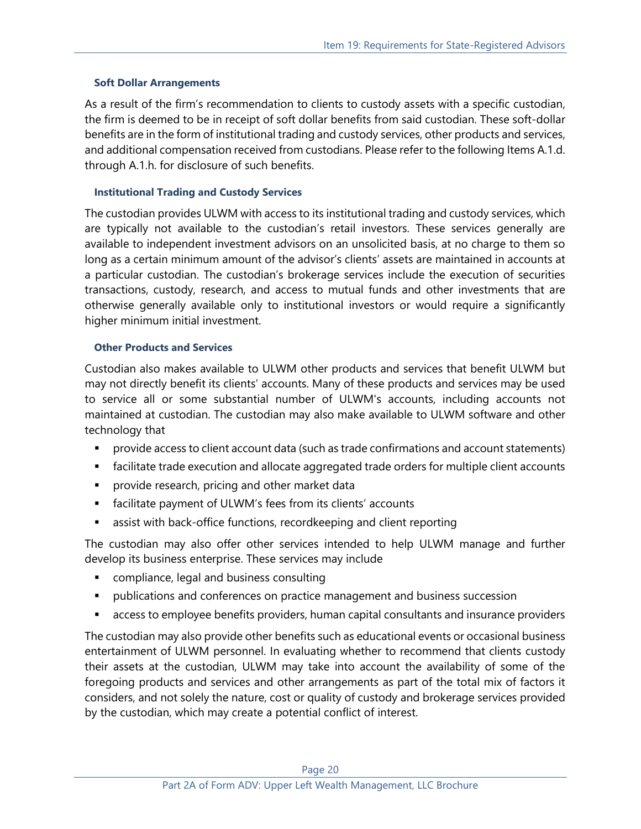#### **Soft Dollar Arrangements**

As a result of the firm's recommendation to clients to custody assets with a specific custodian, the firm is deemed to be in receipt of soft dollar benefits from said custodian. These soft-dollar benefits are in the form of institutional trading and custody services, other products and services, and additional compensation received from custodians. Please refer to the following Items A.1.d. through A.1.h. for disclosure of such benefits.

#### **Institutional Trading and Custody Services**

The custodian provides ULWM with access to its institutional trading and custody services, which are typically not available to the custodian's retail investors. These services generally are available to independent investment advisors on an unsolicited basis, at no charge to them so long as a certain minimum amount of the advisor's clients' assets are maintained in accounts at a particular custodian. The custodian's brokerage services include the execution of securities transactions, custody, research, and access to mutual funds and other investments that are otherwise generally available only to institutional investors or would require a significantly higher minimum initial investment.

#### **Other Products and Services**

Custodian also makes available to ULWM other products and services that benefit ULWM but may not directly benefit its clients' accounts. Many of these products and services may be used to service all or some substantial number of ULWM's accounts, including accounts not maintained at custodian. The custodian may also make available to ULWM software and other technology that

- provide access to client account data (such as trade confirmations and account statements)
- **•** facilitate trade execution and allocate aggregated trade orders for multiple client accounts
- **•** provide research, pricing and other market data
- facilitate payment of ULWM's fees from its clients' accounts
- assist with back-office functions, recordkeeping and client reporting

The custodian may also offer other services intended to help ULWM manage and further develop its business enterprise. These services may include

- compliance, legal and business consulting
- **•** publications and conferences on practice management and business succession
- access to employee benefits providers, human capital consultants and insurance providers

The custodian may also provide other benefits such as educational events or occasional business entertainment of ULWM personnel. In evaluating whether to recommend that clients custody their assets at the custodian, ULWM may take into account the availability of some of the foregoing products and services and other arrangements as part of the total mix of factors it considers, and not solely the nature, cost or quality of custody and brokerage services provided by the custodian, which may create a potential conflict of interest.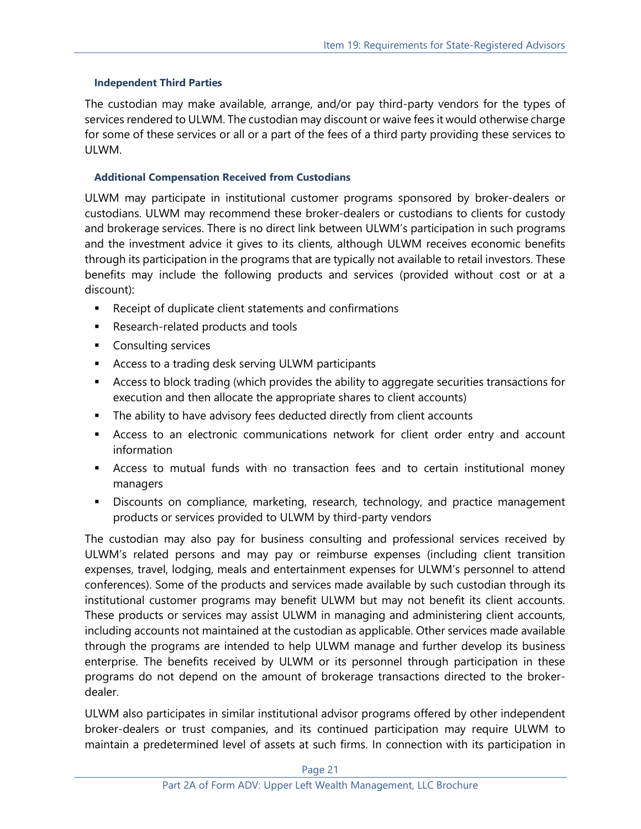#### **Independent Third Parties**

The custodian may make available, arrange, and/or pay third-party vendors for the types of services rendered to ULWM. The custodian may discount or waive fees it would otherwise charge for some of these services or all or a part of the fees of a third party providing these services to ULWM.

#### **Additional Compensation Received from Custodians**

ULWM may participate in institutional customer programs sponsored by broker-dealers or custodians. ULWM may recommend these broker-dealers or custodians to clients for custody and brokerage services. There is no direct link between ULWM's participation in such programs and the investment advice it gives to its clients, although ULWM receives economic benefits through its participation in the programs that are typically not available to retail investors. These benefits may include the following products and services (provided without cost or at a discount):

- Receipt of duplicate client statements and confirmations
- Research-related products and tools
- Consulting services
- Access to a trading desk serving ULWM participants
- Access to block trading (which provides the ability to aggregate securities transactions for execution and then allocate the appropriate shares to client accounts)
- **•** The ability to have advisory fees deducted directly from client accounts
- **EXEC** Access to an electronic communications network for client order entry and account information
- Access to mutual funds with no transaction fees and to certain institutional money managers
- **EXP** Discounts on compliance, marketing, research, technology, and practice management products or services provided to ULWM by third-party vendors

The custodian may also pay for business consulting and professional services received by ULWM's related persons and may pay or reimburse expenses (including client transition expenses, travel, lodging, meals and entertainment expenses for ULWM's personnel to attend conferences). Some of the products and services made available by such custodian through its institutional customer programs may benefit ULWM but may not benefit its client accounts. These products or services may assist ULWM in managing and administering client accounts, including accounts not maintained at the custodian as applicable. Other services made available through the programs are intended to help ULWM manage and further develop its business enterprise. The benefits received by ULWM or its personnel through participation in these programs do not depend on the amount of brokerage transactions directed to the brokerdealer.

ULWM also participates in similar institutional advisor programs offered by other independent broker-dealers or trust companies, and its continued participation may require ULWM to maintain a predetermined level of assets at such firms. In connection with its participation in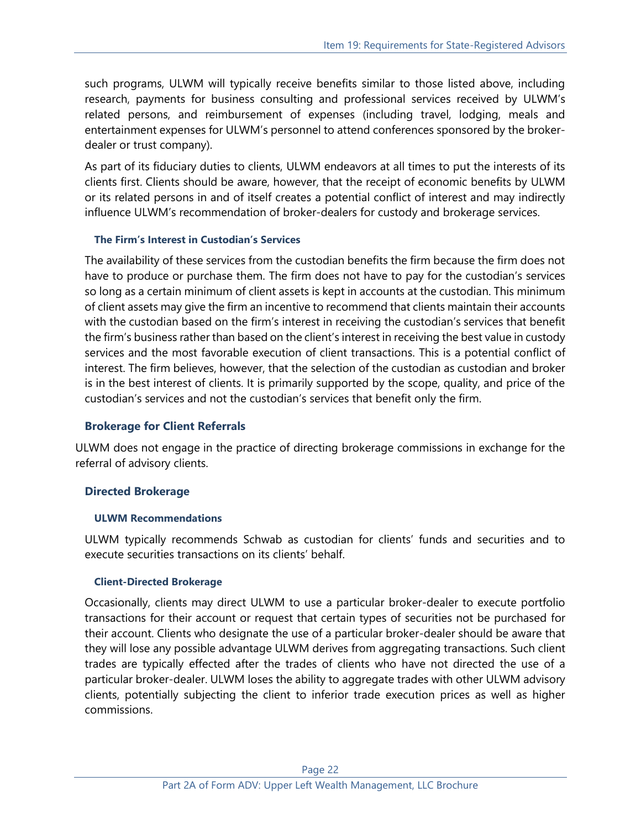such programs, ULWM will typically receive benefits similar to those listed above, including research, payments for business consulting and professional services received by ULWM's related persons, and reimbursement of expenses (including travel, lodging, meals and entertainment expenses for ULWM's personnel to attend conferences sponsored by the brokerdealer or trust company).

As part of its fiduciary duties to clients, ULWM endeavors at all times to put the interests of its clients first. Clients should be aware, however, that the receipt of economic benefits by ULWM or its related persons in and of itself creates a potential conflict of interest and may indirectly influence ULWM's recommendation of broker-dealers for custody and brokerage services.

#### **The Firm's Interest in Custodian's Services**

The availability of these services from the custodian benefits the firm because the firm does not have to produce or purchase them. The firm does not have to pay for the custodian's services so long as a certain minimum of client assets is kept in accounts at the custodian. This minimum of client assets may give the firm an incentive to recommend that clients maintain their accounts with the custodian based on the firm's interest in receiving the custodian's services that benefit the firm's business rather than based on the client's interest in receiving the best value in custody services and the most favorable execution of client transactions. This is a potential conflict of interest. The firm believes, however, that the selection of the custodian as custodian and broker is in the best interest of clients. It is primarily supported by the scope, quality, and price of the custodian's services and not the custodian's services that benefit only the firm.

#### **Brokerage for Client Referrals**

ULWM does not engage in the practice of directing brokerage commissions in exchange for the referral of advisory clients.

#### **Directed Brokerage**

#### **ULWM Recommendations**

ULWM typically recommends Schwab as custodian for clients' funds and securities and to execute securities transactions on its clients' behalf.

#### **Client-Directed Brokerage**

Occasionally, clients may direct ULWM to use a particular broker-dealer to execute portfolio transactions for their account or request that certain types of securities not be purchased for their account. Clients who designate the use of a particular broker-dealer should be aware that they will lose any possible advantage ULWM derives from aggregating transactions. Such client trades are typically effected after the trades of clients who have not directed the use of a particular broker-dealer. ULWM loses the ability to aggregate trades with other ULWM advisory clients, potentially subjecting the client to inferior trade execution prices as well as higher commissions.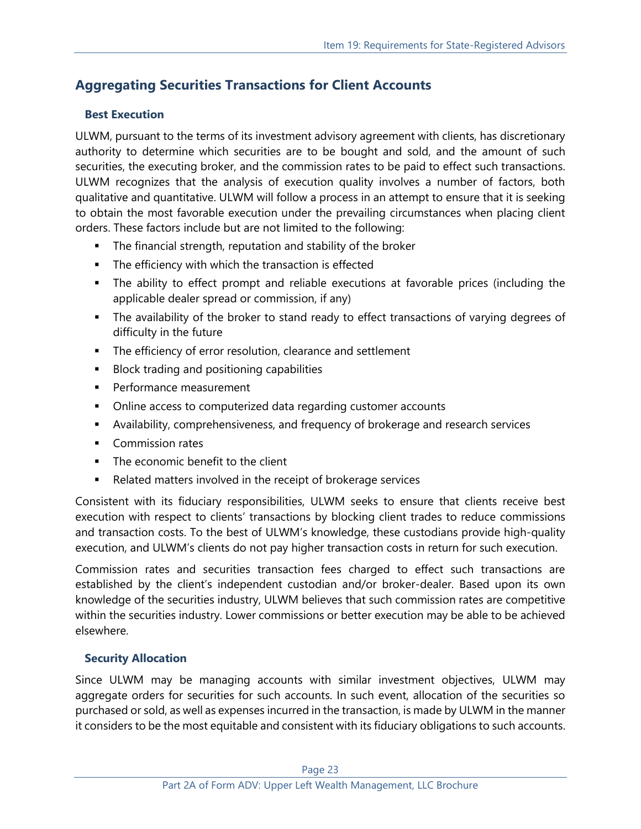## **Aggregating Securities Transactions for Client Accounts**

#### **Best Execution**

ULWM, pursuant to the terms of its investment advisory agreement with clients, has discretionary authority to determine which securities are to be bought and sold, and the amount of such securities, the executing broker, and the commission rates to be paid to effect such transactions. ULWM recognizes that the analysis of execution quality involves a number of factors, both qualitative and quantitative. ULWM will follow a process in an attempt to ensure that it is seeking to obtain the most favorable execution under the prevailing circumstances when placing client orders. These factors include but are not limited to the following:

- The financial strength, reputation and stability of the broker
- **•** The efficiency with which the transaction is effected
- The ability to effect prompt and reliable executions at favorable prices (including the applicable dealer spread or commission, if any)
- **.** The availability of the broker to stand ready to effect transactions of varying degrees of difficulty in the future
- **EXECT** The efficiency of error resolution, clearance and settlement
- Block trading and positioning capabilities
- Performance measurement
- Online access to computerized data regarding customer accounts
- Availability, comprehensiveness, and frequency of brokerage and research services
- Commission rates
- The economic benefit to the client
- Related matters involved in the receipt of brokerage services

Consistent with its fiduciary responsibilities, ULWM seeks to ensure that clients receive best execution with respect to clients' transactions by blocking client trades to reduce commissions and transaction costs. To the best of ULWM's knowledge, these custodians provide high-quality execution, and ULWM's clients do not pay higher transaction costs in return for such execution.

Commission rates and securities transaction fees charged to effect such transactions are established by the client's independent custodian and/or broker-dealer. Based upon its own knowledge of the securities industry, ULWM believes that such commission rates are competitive within the securities industry. Lower commissions or better execution may be able to be achieved elsewhere.

#### **Security Allocation**

Since ULWM may be managing accounts with similar investment objectives, ULWM may aggregate orders for securities for such accounts. In such event, allocation of the securities so purchased or sold, as well as expenses incurred in the transaction, is made by ULWM in the manner it considers to be the most equitable and consistent with its fiduciary obligations to such accounts.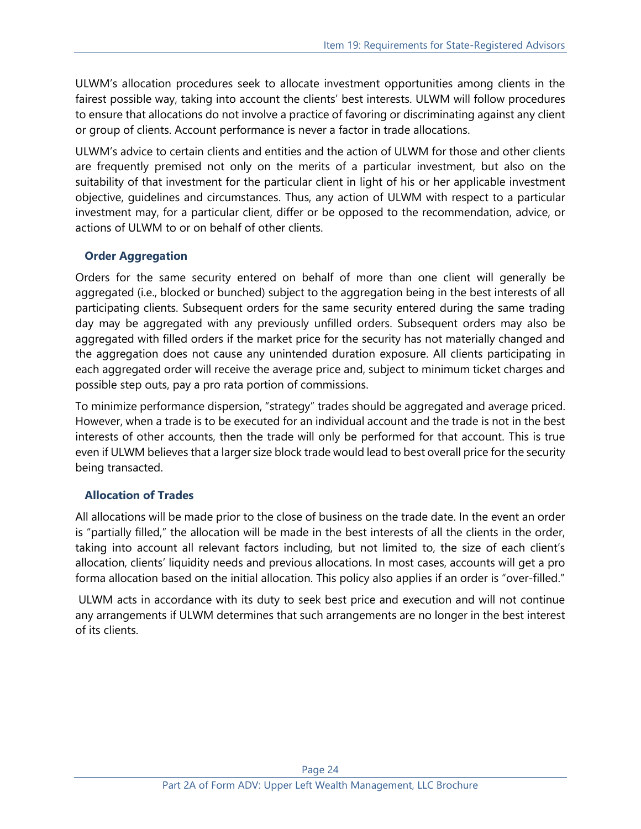ULWM's allocation procedures seek to allocate investment opportunities among clients in the fairest possible way, taking into account the clients' best interests. ULWM will follow procedures to ensure that allocations do not involve a practice of favoring or discriminating against any client or group of clients. Account performance is never a factor in trade allocations.

ULWM's advice to certain clients and entities and the action of ULWM for those and other clients are frequently premised not only on the merits of a particular investment, but also on the suitability of that investment for the particular client in light of his or her applicable investment objective, guidelines and circumstances. Thus, any action of ULWM with respect to a particular investment may, for a particular client, differ or be opposed to the recommendation, advice, or actions of ULWM to or on behalf of other clients.

#### **Order Aggregation**

Orders for the same security entered on behalf of more than one client will generally be aggregated (i.e., blocked or bunched) subject to the aggregation being in the best interests of all participating clients. Subsequent orders for the same security entered during the same trading day may be aggregated with any previously unfilled orders. Subsequent orders may also be aggregated with filled orders if the market price for the security has not materially changed and the aggregation does not cause any unintended duration exposure. All clients participating in each aggregated order will receive the average price and, subject to minimum ticket charges and possible step outs, pay a pro rata portion of commissions.

To minimize performance dispersion, "strategy" trades should be aggregated and average priced. However, when a trade is to be executed for an individual account and the trade is not in the best interests of other accounts, then the trade will only be performed for that account. This is true even if ULWM believes that a larger size block trade would lead to best overall price for the security being transacted.

#### **Allocation of Trades**

All allocations will be made prior to the close of business on the trade date. In the event an order is "partially filled," the allocation will be made in the best interests of all the clients in the order, taking into account all relevant factors including, but not limited to, the size of each client's allocation, clients' liquidity needs and previous allocations. In most cases, accounts will get a pro forma allocation based on the initial allocation. This policy also applies if an order is "over-filled."

ULWM acts in accordance with its duty to seek best price and execution and will not continue any arrangements if ULWM determines that such arrangements are no longer in the best interest of its clients.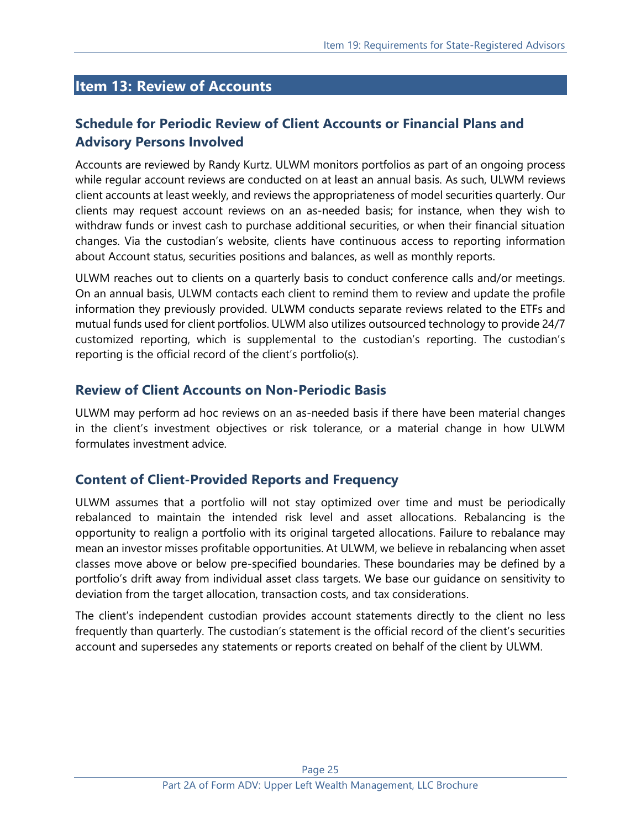## <span id="page-24-0"></span>**Item 13: Review of Accounts**

## **Schedule for Periodic Review of Client Accounts or Financial Plans and Advisory Persons Involved**

Accounts are reviewed by Randy Kurtz. ULWM monitors portfolios as part of an ongoing process while regular account reviews are conducted on at least an annual basis. As such, ULWM reviews client accounts at least weekly, and reviews the appropriateness of model securities quarterly. Our clients may request account reviews on an as-needed basis; for instance, when they wish to withdraw funds or invest cash to purchase additional securities, or when their financial situation changes. Via the custodian's website, clients have continuous access to reporting information about Account status, securities positions and balances, as well as monthly reports.

ULWM reaches out to clients on a quarterly basis to conduct conference calls and/or meetings. On an annual basis, ULWM contacts each client to remind them to review and update the profile information they previously provided. ULWM conducts separate reviews related to the ETFs and mutual funds used for client portfolios. ULWM also utilizes outsourced technology to provide 24/7 customized reporting, which is supplemental to the custodian's reporting. The custodian's reporting is the official record of the client's portfolio(s).

#### **Review of Client Accounts on Non-Periodic Basis**

ULWM may perform ad hoc reviews on an as-needed basis if there have been material changes in the client's investment objectives or risk tolerance, or a material change in how ULWM formulates investment advice.

#### **Content of Client-Provided Reports and Frequency**

ULWM assumes that a portfolio will not stay optimized over time and must be periodically rebalanced to maintain the intended risk level and asset allocations. Rebalancing is the opportunity to realign a portfolio with its original targeted allocations. Failure to rebalance may mean an investor misses profitable opportunities. At ULWM, we believe in rebalancing when asset classes move above or below pre-specified boundaries. These boundaries may be defined by a portfolio's drift away from individual asset class targets. We base our guidance on sensitivity to deviation from the target allocation, transaction costs, and tax considerations.

The client's independent custodian provides account statements directly to the client no less frequently than quarterly. The custodian's statement is the official record of the client's securities account and supersedes any statements or reports created on behalf of the client by ULWM.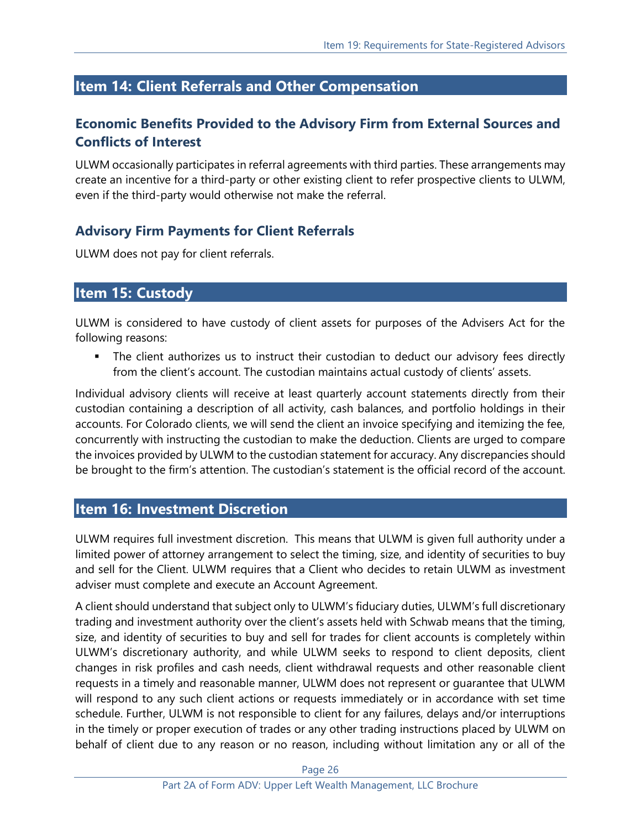# <span id="page-25-0"></span>**Item 14: Client Referrals and Other Compensation**

## **Economic Benefits Provided to the Advisory Firm from External Sources and Conflicts of Interest**

ULWM occasionally participates in referral agreements with third parties. These arrangements may create an incentive for a third-party or other existing client to refer prospective clients to ULWM, even if the third-party would otherwise not make the referral.

## **Advisory Firm Payments for Client Referrals**

ULWM does not pay for client referrals.

## <span id="page-25-1"></span>**Item 15: Custody**

ULWM is considered to have custody of client assets for purposes of the Advisers Act for the following reasons:

**.** The client authorizes us to instruct their custodian to deduct our advisory fees directly from the client's account. The custodian maintains actual custody of clients' assets.

Individual advisory clients will receive at least quarterly account statements directly from their custodian containing a description of all activity, cash balances, and portfolio holdings in their accounts. For Colorado clients, we will send the client an invoice specifying and itemizing the fee, concurrently with instructing the custodian to make the deduction. Clients are urged to compare the invoices provided by ULWM to the custodian statement for accuracy. Any discrepancies should be brought to the firm's attention. The custodian's statement is the official record of the account.

## <span id="page-25-2"></span>**Item 16: Investment Discretion**

ULWM requires full investment discretion. This means that ULWM is given full authority under a limited power of attorney arrangement to select the timing, size, and identity of securities to buy and sell for the Client. ULWM requires that a Client who decides to retain ULWM as investment adviser must complete and execute an Account Agreement.

A client should understand that subject only to ULWM's fiduciary duties, ULWM's full discretionary trading and investment authority over the client's assets held with Schwab means that the timing, size, and identity of securities to buy and sell for trades for client accounts is completely within ULWM's discretionary authority, and while ULWM seeks to respond to client deposits, client changes in risk profiles and cash needs, client withdrawal requests and other reasonable client requests in a timely and reasonable manner, ULWM does not represent or guarantee that ULWM will respond to any such client actions or requests immediately or in accordance with set time schedule. Further, ULWM is not responsible to client for any failures, delays and/or interruptions in the timely or proper execution of trades or any other trading instructions placed by ULWM on behalf of client due to any reason or no reason, including without limitation any or all of the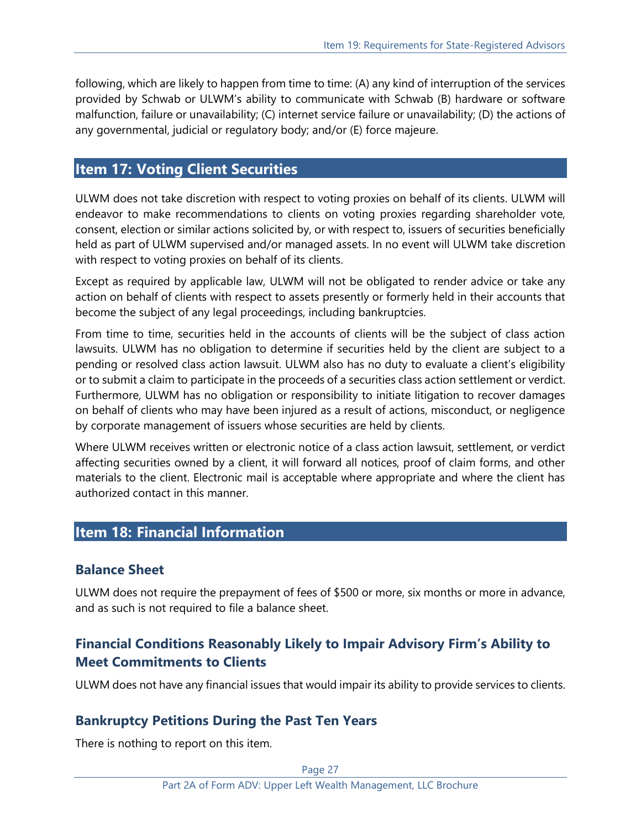following, which are likely to happen from time to time: (A) any kind of interruption of the services provided by Schwab or ULWM's ability to communicate with Schwab (B) hardware or software malfunction, failure or unavailability; (C) internet service failure or unavailability; (D) the actions of any governmental, judicial or regulatory body; and/or (E) force majeure.

## <span id="page-26-0"></span>**Item 17: Voting Client Securities**

ULWM does not take discretion with respect to voting proxies on behalf of its clients. ULWM will endeavor to make recommendations to clients on voting proxies regarding shareholder vote, consent, election or similar actions solicited by, or with respect to, issuers of securities beneficially held as part of ULWM supervised and/or managed assets. In no event will ULWM take discretion with respect to voting proxies on behalf of its clients.

Except as required by applicable law, ULWM will not be obligated to render advice or take any action on behalf of clients with respect to assets presently or formerly held in their accounts that become the subject of any legal proceedings, including bankruptcies.

From time to time, securities held in the accounts of clients will be the subject of class action lawsuits. ULWM has no obligation to determine if securities held by the client are subject to a pending or resolved class action lawsuit. ULWM also has no duty to evaluate a client's eligibility or to submit a claim to participate in the proceeds of a securities class action settlement or verdict. Furthermore, ULWM has no obligation or responsibility to initiate litigation to recover damages on behalf of clients who may have been injured as a result of actions, misconduct, or negligence by corporate management of issuers whose securities are held by clients.

Where ULWM receives written or electronic notice of a class action lawsuit, settlement, or verdict affecting securities owned by a client, it will forward all notices, proof of claim forms, and other materials to the client. Electronic mail is acceptable where appropriate and where the client has authorized contact in this manner.

## <span id="page-26-1"></span>**Item 18: Financial Information**

## **Balance Sheet**

ULWM does not require the prepayment of fees of \$500 or more, six months or more in advance, and as such is not required to file a balance sheet.

## **Financial Conditions Reasonably Likely to Impair Advisory Firm's Ability to Meet Commitments to Clients**

ULWM does not have any financial issues that would impair its ability to provide services to clients.

## **Bankruptcy Petitions During the Past Ten Years**

There is nothing to report on this item.